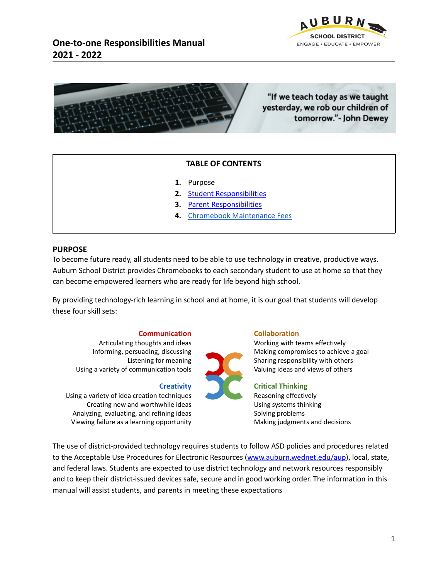



# "If we teach today as we taught yesterday, we rob our children of tomorrow."- John Dewey

# **TABLE OF CONTENTS**

- **1.** Purpose
- **2.** Student [Responsibilities](#page-1-0)
- **3.** Parent [Responsibilities](#page-3-0)
- **4.** Chromebook [Maintenance](#page-4-0) Fees

#### **PURPOSE**

To become future ready, all students need to be able to use technology in creative, productive ways. Auburn School District provides Chromebooks to each secondary student to use at home so that they can become empowered learners who are ready for life beyond high school.

By providing technology-rich learning in school and at home, it is our goal that students will develop these four skill sets:

#### **Communication**

Articulating thoughts and ideas Informing, persuading, discussing Listening for meaning Using a variety of communication tools

#### **Creativity**

Using a variety of idea creation techniques Creating new and worthwhile ideas Analyzing, evaluating, and refining ideas Viewing failure as a learning opportunity

#### **Collaboration**

Working with teams effectively Making compromises to achieve a goal Sharing responsibility with others Valuing ideas and views of others

# **Critical Thinking**

Reasoning effectively Using systems thinking Solving problems Making judgments and decisions

The use of district-provided technology requires students to follow ASD policies and procedures related to the Acceptable Use Procedures for Electronic Resources [\(www.auburn.wednet.edu/aup\)](http://www.auburn.wednet.edu/aup), local, state, and federal laws. Students are expected to use district technology and network resources responsibly and to keep their district-issued devices safe, secure and in good working order. The information in this manual will assist students, and parents in meeting these expectations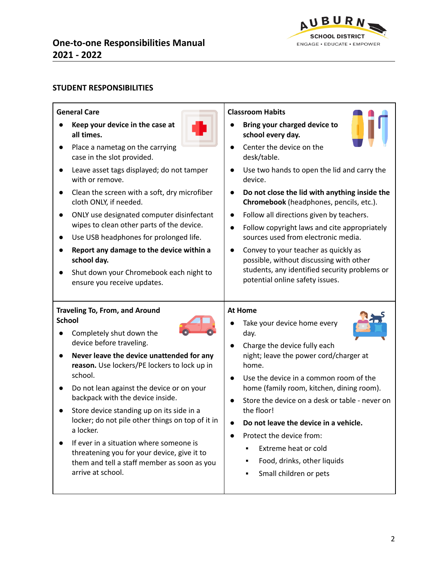**DEVICE RULES AND GUIDELINES BOOK USE, CARE, AND CLASSROOM ROUTINES**



# <span id="page-1-0"></span>**STUDENT RESPONSIBILITIES**

| <b>General Care</b>                                                                                    | <b>Classroom Habits</b>                                                                     |  |
|--------------------------------------------------------------------------------------------------------|---------------------------------------------------------------------------------------------|--|
| Keep your device in the case at<br>all times.                                                          | Bring your charged device to<br>school every day.                                           |  |
| Place a nametag on the carrying<br>case in the slot provided.                                          | Center the device on the<br>desk/table.                                                     |  |
| Leave asset tags displayed; do not tamper<br>with or remove.                                           | Use two hands to open the lid and carry the<br>$\bullet$<br>device.                         |  |
| Clean the screen with a soft, dry microfiber<br>cloth ONLY, if needed.                                 | Do not close the lid with anything inside the<br>Chromebook (headphones, pencils, etc.).    |  |
| ONLY use designated computer disinfectant<br>$\bullet$<br>wipes to clean other parts of the device.    | Follow all directions given by teachers.<br>$\bullet$                                       |  |
| Use USB headphones for prolonged life.                                                                 | Follow copyright laws and cite appropriately<br>sources used from electronic media.         |  |
| Report any damage to the device within a<br>$\bullet$<br>school day.                                   | Convey to your teacher as quickly as<br>possible, without discussing with other             |  |
| Shut down your Chromebook each night to<br>ensure you receive updates.                                 | students, any identified security problems or<br>potential online safety issues.            |  |
|                                                                                                        |                                                                                             |  |
| <b>Traveling To, From, and Around</b><br><b>School</b>                                                 | <b>At Home</b>                                                                              |  |
| Completely shut down the<br>device before traveling.                                                   | Take your device home every<br>day.                                                         |  |
| Never leave the device unattended for any<br>$\bullet$<br>reason. Use lockers/PE lockers to lock up in | Charge the device fully each<br>night; leave the power cord/charger at<br>home.             |  |
| school.                                                                                                | Use the device in a common room of the                                                      |  |
| Do not lean against the device or on your<br>backpack with the device inside.                          | home (family room, kitchen, dining room).<br>Store the device on a desk or table - never on |  |
| Store device standing up on its side in a<br>locker; do not pile other things on top of it in          | the floor!<br>Do not leave the device in a vehicle.                                         |  |
| a locker.                                                                                              | Protect the device from:                                                                    |  |
| If ever in a situation where someone is                                                                | Extreme heat or cold<br>$\blacksquare$                                                      |  |
| threatening you for your device, give it to<br>them and tell a staff member as soon as you             | Food, drinks, other liquids                                                                 |  |
| arrive at school.                                                                                      | Small children or pets<br>٠                                                                 |  |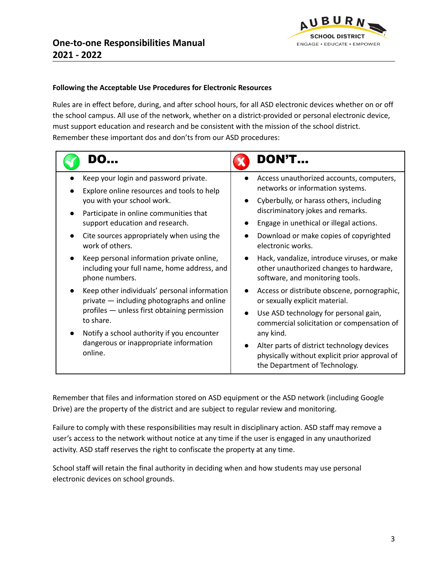

# **Following the Acceptable Use Procedures for Electronic Resources**

Rules are in effect before, during, and after school hours, for all ASD electronic devices whether on or off the school campus. All use of the network, whether on a district-provided or personal electronic device, must support education and research and be consistent with the mission of the school district. Remember these important dos and don'ts from our ASD procedures:

|                                                   | <b>DON'T</b>                                                                                                                 |
|---------------------------------------------------|------------------------------------------------------------------------------------------------------------------------------|
| Keep your login and password private.             | Access unauthorized accounts, computers,                                                                                     |
| Explore online resources and tools to help        | networks or information systems.                                                                                             |
| you with your school work.                        | Cyberbully, or harass others, including                                                                                      |
| Participate in online communities that            | discriminatory jokes and remarks.                                                                                            |
| support education and research.                   | Engage in unethical or illegal actions.                                                                                      |
| Cite sources appropriately when using the         | Download or make copies of copyrighted                                                                                       |
| work of others.                                   | electronic works.                                                                                                            |
| Keep personal information private online,         | Hack, vandalize, introduce viruses, or make                                                                                  |
| including your full name, home address, and       | other unauthorized changes to hardware,                                                                                      |
| phone numbers.                                    | software, and monitoring tools.                                                                                              |
| Keep other individuals' personal information      | Access or distribute obscene, pornographic,                                                                                  |
| private - including photographs and online        | or sexually explicit material.                                                                                               |
| profiles - unless first obtaining permission      | Use ASD technology for personal gain,                                                                                        |
| to share.                                         | commercial solicitation or compensation of                                                                                   |
| Notify a school authority if you encounter        | any kind.                                                                                                                    |
| dangerous or inappropriate information<br>online. | Alter parts of district technology devices<br>physically without explicit prior approval of<br>the Department of Technology. |

Remember that files and information stored on ASD equipment or the ASD network (including Google Drive) are the property of the district and are subject to regular review and monitoring.

Failure to comply with these responsibilities may result in disciplinary action. ASD staff may remove a user's access to the network without notice at any time if the user is engaged in any unauthorized activity. ASD staff reserves the right to confiscate the property at any time.

School staff will retain the final authority in deciding when and how students may use personal electronic devices on school grounds.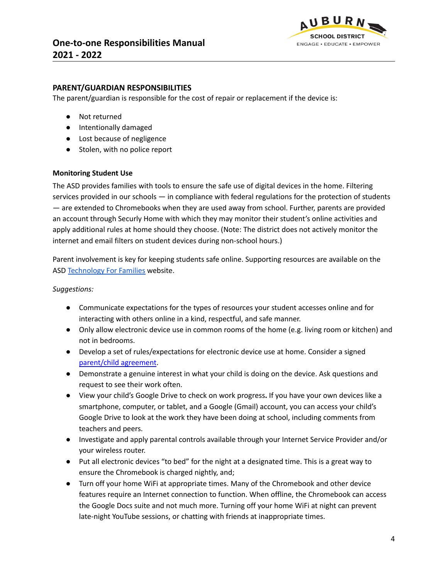

# <span id="page-3-0"></span>**PARENT/GUARDIAN RESPONSIBILITIES**

The parent/guardian is responsible for the cost of repair or replacement if the device is:

- Not returned
- Intentionally damaged
- Lost because of negligence
- Stolen, with no police report

#### **Monitoring Student Use**

The ASD provides families with tools to ensure the safe use of digital devices in the home. Filtering services provided in our schools — in compliance with federal regulations for the protection of students — are extended to Chromebooks when they are used away from school. Further, parents are provided an account through Securly Home with which they may monitor their student's online activities and apply additional rules at home should they choose. (Note: The district does not actively monitor the internet and email filters on student devices during non-school hours.)

Parent involvement is key for keeping students safe online. Supporting resources are available on the ASD [Technology](http://bit.ly/tech4families) For Families website.

#### *Suggestions:*

- Communicate expectations for the types of resources your student accesses online and for interacting with others online in a kind, respectful, and safe manner.
- Only allow electronic device use in common rooms of the home (e.g. living room or kitchen) and not in bedrooms.
- Develop a set of rules/expectations for electronic device use at home. Consider a signed [parent/child](https://www.commonsensemedia.org/family-media-agreement) agreement.
- Demonstrate a genuine interest in what your child is doing on the device. Ask questions and request to see their work often.
- View your child's Google Drive to check on work progress**.** If you have your own devices like a smartphone, computer, or tablet, and a Google (Gmail) account, you can access your child's Google Drive to look at the work they have been doing at school, including comments from teachers and peers.
- Investigate and apply parental controls available through your Internet Service Provider and/or your wireless router.
- Put all electronic devices "to bed" for the night at a designated time. This is a great way to ensure the Chromebook is charged nightly, and;
- Turn off your home WiFi at appropriate times. Many of the Chromebook and other device features require an Internet connection to function. When offline, the Chromebook can access the Google Docs suite and not much more. Turning off your home WiFi at night can prevent late-night YouTube sessions, or chatting with friends at inappropriate times.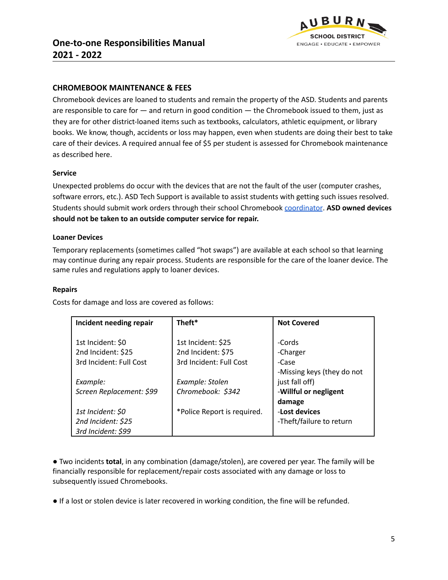

# <span id="page-4-0"></span>**CHROMEBOOK MAINTENANCE & FEES**

Chromebook devices are loaned to students and remain the property of the ASD. Students and parents are responsible to care for — and return in good condition — the Chromebook issued to them, just as they are for other district-loaned items such as textbooks, calculators, athletic equipment, or library books. We know, though, accidents or loss may happen, even when students are doing their best to take care of their devices. A required annual fee of \$5 per student is assessed for Chromebook maintenance as described here.

# **Service**

Unexpected problems do occur with the devices that are not the fault of the user (computer crashes, software errors, etc.). ASD Tech Support is available to assist students with getting such issues resolved. Students should submit work orders through their school Chromebook [coordinator](https://www.auburn.wednet.edu/Page/715). **ASD owned devices should not be taken to an outside computer service for repair.**

#### **Loaner Devices**

Temporary replacements (sometimes called "hot swaps") are available at each school so that learning may continue during any repair process. Students are responsible for the care of the loaner device. The same rules and regulations apply to loaner devices.

#### **Repairs**

Costs for damage and loss are covered as follows:

| Incident needing repair  | Theft*                      | <b>Not Covered</b>         |
|--------------------------|-----------------------------|----------------------------|
|                          |                             |                            |
| 1st Incident: \$0        | 1st Incident: \$25          | -Cords                     |
| 2nd Incident: \$25       | 2nd Incident: \$75          | -Charger                   |
| 3rd Incident: Full Cost  | 3rd Incident: Full Cost     | -Case                      |
|                          |                             | -Missing keys (they do not |
| Example:                 | Example: Stolen             | just fall off)             |
| Screen Replacement: \$99 | Chromebook: \$342           | -Willful or negligent      |
|                          |                             | damage                     |
| 1st Incident: \$0        | *Police Report is required. | -Lost devices              |
| 2nd Incident: \$25       |                             | -Theft/failure to return   |
| 3rd Incident: \$99       |                             |                            |

● Two incidents **total**, in any combination (damage/stolen), are covered per year. The family will be financially responsible for replacement/repair costs associated with any damage or loss to subsequently issued Chromebooks.

● If a lost or stolen device is later recovered in working condition, the fine will be refunded.